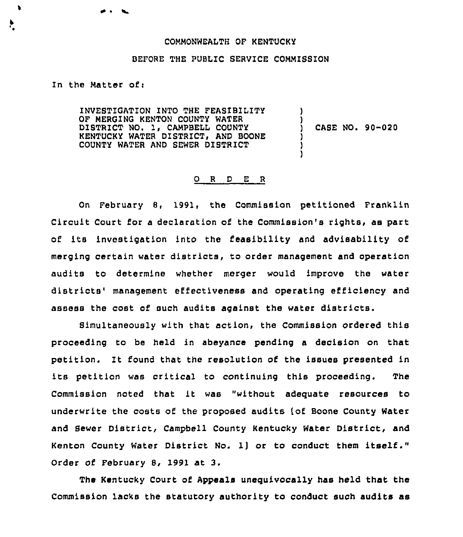## COMMONWEALTH OF KENTUCKY

## BEFORE THE PUBLIC SERVICE COMMISSION

In the Matter of  $v$ 

 $\bullet$ 

INVESTIGATION INTO THE FEAS1BILITY OF MERGING KENTON COUNTY WATER DISTRICT NO. 1, CAMPBELL COUNTY KENTUCKY WATER DISTRICT, AND BOONE COUNTY WATER AND SEWER DlSTRICT ) ) CASE NO. 90-020 ) )

)

## 0 <sup>R</sup> <sup>D</sup> E <sup>R</sup>

On February 8, 1991, the Commission petitioned Franklin Circuit Court for a declaration of the Commission's rights, as part of its investigation into the feasibility and advisability of merging certain water districts, to order management and operation audits to determine whether merger would improve the water districts' management effectiveness and operating efficiency and assess the cost of such audits against the water districts.

Simultaneously with that action, the Commission ordered this proceeding to be held in abeyance pending a decision on that petition. It found that the resolution of the issues presented in its petition was critical to continuing this proceeding. The Commission noted that it was "without adequate resources to underwrite the costs of the proposed audits [of Boone County Water and Sewer District, Campbell County Kentucky Water District, and Kenton County Water District No. 1] or to conduct them itself." Order of February 8, 1991 at 3.

The Kentucky Court of Appeals unequivocally has held that the Commission lacks the statutory authority to conduct such audits as